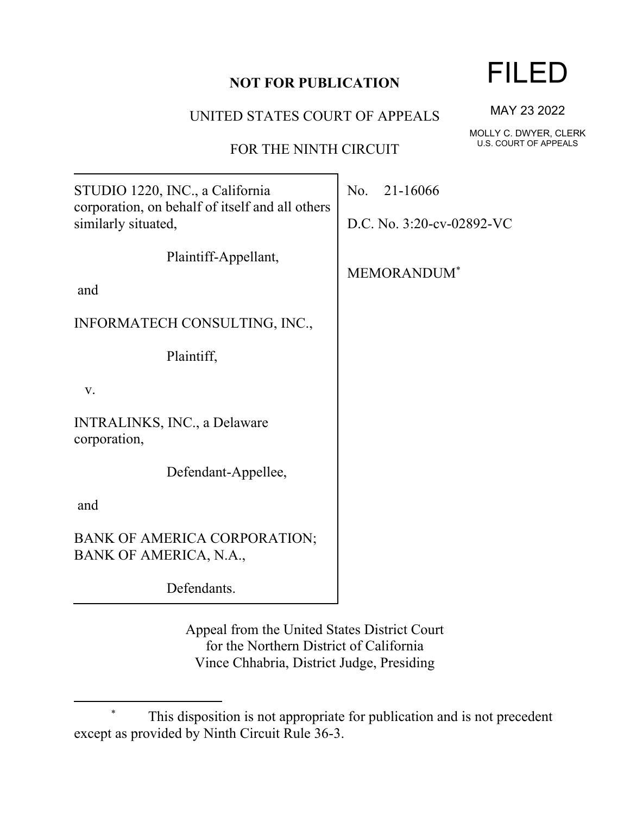## **NOT FOR PUBLICATION**

UNITED STATES COURT OF APPEALS

FOR THE NINTH CIRCUIT

STUDIO 1220, INC., a California corporation, on behalf of itself and all others similarly situated,

Plaintiff-Appellant,

and

INFORMATECH CONSULTING, INC.,

Plaintiff,

v.

INTRALINKS, INC., a Delaware corporation,

Defendant-Appellee,

and

BANK OF AMERICA CORPORATION; BANK OF AMERICA, N.A.,

Defendants.

Appeal from the United States District Court for the Northern District of California Vince Chhabria, District Judge, Presiding

FILED

MAY 23 2022

MOLLY C. DWYER, CLERK U.S. COURT OF APPEALS

No. 21-16066

D.C. No. 3:20-cv-02892-VC

MEMORANDUM\*

This disposition is not appropriate for publication and is not precedent except as provided by Ninth Circuit Rule 36-3.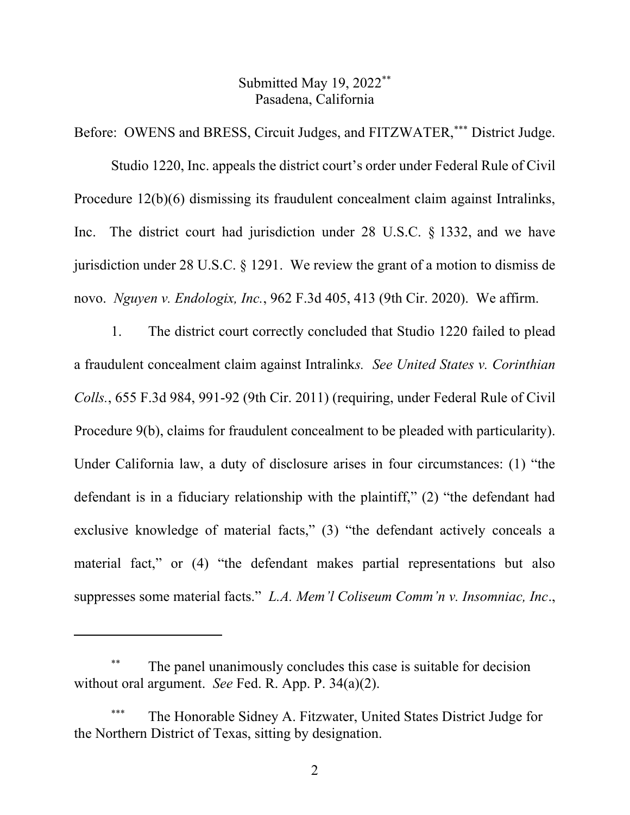## Submitted May 19, 2022\*\* Pasadena, California

Before: OWENS and BRESS, Circuit Judges, and FITZWATER,\*\*\* District Judge.

Studio 1220, Inc. appeals the district court's order under Federal Rule of Civil Procedure 12(b)(6) dismissing its fraudulent concealment claim against Intralinks, Inc. The district court had jurisdiction under 28 U.S.C. § 1332, and we have jurisdiction under 28 U.S.C. § 1291. We review the grant of a motion to dismiss de novo. *Nguyen v. Endologix, Inc.*, 962 F.3d 405, 413 (9th Cir. 2020). We affirm.

1. The district court correctly concluded that Studio 1220 failed to plead a fraudulent concealment claim against Intralink*s. See United States v. Corinthian Colls.*, 655 F.3d 984, 991-92 (9th Cir. 2011) (requiring, under Federal Rule of Civil Procedure 9(b), claims for fraudulent concealment to be pleaded with particularity). Under California law, a duty of disclosure arises in four circumstances: (1) "the defendant is in a fiduciary relationship with the plaintiff," (2) "the defendant had exclusive knowledge of material facts," (3) "the defendant actively conceals a material fact," or (4) "the defendant makes partial representations but also suppresses some material facts." *L.A. Mem'l Coliseum Comm'n v. Insomniac, Inc*.,

The panel unanimously concludes this case is suitable for decision without oral argument. *See* Fed. R. App. P. 34(a)(2).

The Honorable Sidney A. Fitzwater, United States District Judge for the Northern District of Texas, sitting by designation.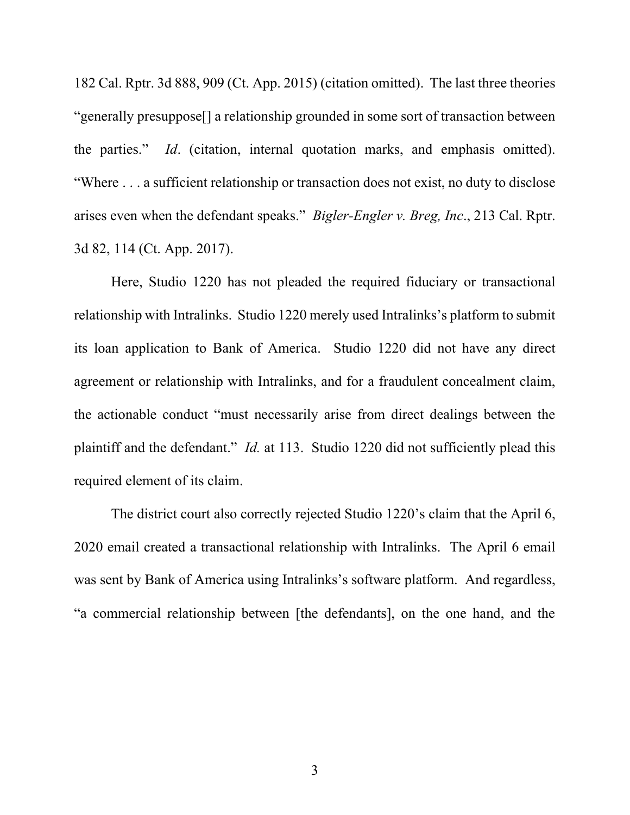182 Cal. Rptr. 3d 888, 909 (Ct. App. 2015) (citation omitted). The last three theories "generally presuppose[] a relationship grounded in some sort of transaction between the parties." *Id*. (citation, internal quotation marks, and emphasis omitted). "Where . . . a sufficient relationship or transaction does not exist, no duty to disclose arises even when the defendant speaks." *Bigler-Engler v. Breg, Inc*., 213 Cal. Rptr. 3d 82, 114 (Ct. App. 2017).

Here, Studio 1220 has not pleaded the required fiduciary or transactional relationship with Intralinks. Studio 1220 merely used Intralinks's platform to submit its loan application to Bank of America. Studio 1220 did not have any direct agreement or relationship with Intralinks, and for a fraudulent concealment claim, the actionable conduct "must necessarily arise from direct dealings between the plaintiff and the defendant." *Id.* at 113. Studio 1220 did not sufficiently plead this required element of its claim.

The district court also correctly rejected Studio 1220's claim that the April 6, 2020 email created a transactional relationship with Intralinks. The April 6 email was sent by Bank of America using Intralinks's software platform. And regardless, "a commercial relationship between [the defendants], on the one hand, and the